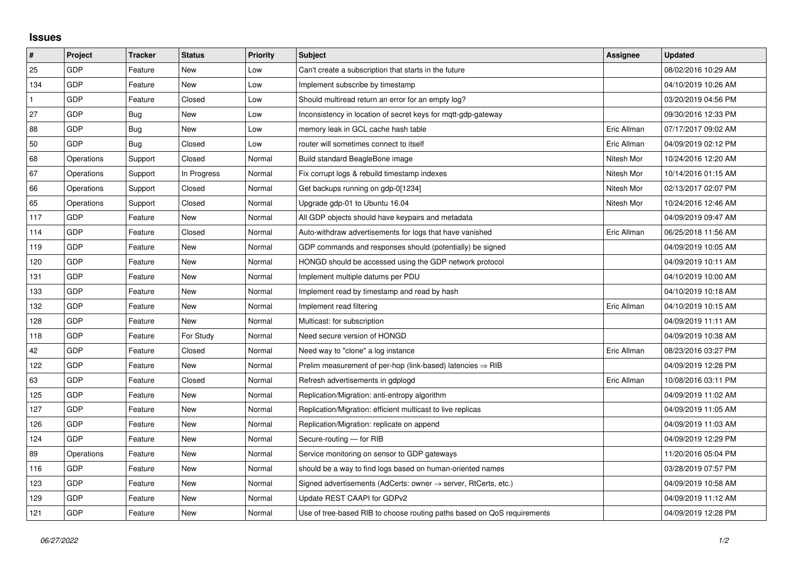## **Issues**

| #   | Project    | <b>Tracker</b> | <b>Status</b> | <b>Priority</b> | <b>Subject</b>                                                             | Assignee    | <b>Updated</b>      |
|-----|------------|----------------|---------------|-----------------|----------------------------------------------------------------------------|-------------|---------------------|
| 25  | GDP        | Feature        | <b>New</b>    | Low             | Can't create a subscription that starts in the future                      |             | 08/02/2016 10:29 AM |
| 134 | GDP        | Feature        | <b>New</b>    | Low             | Implement subscribe by timestamp                                           |             | 04/10/2019 10:26 AM |
|     | GDP        | Feature        | Closed        | Low             | Should multiread return an error for an empty log?                         |             | 03/20/2019 04:56 PM |
| 27  | GDP        | Bug            | <b>New</b>    | Low             | Inconsistency in location of secret keys for mgtt-gdp-gateway              |             | 09/30/2016 12:33 PM |
| 88  | GDP        | Bug            | <b>New</b>    | Low             | memory leak in GCL cache hash table                                        | Eric Allman | 07/17/2017 09:02 AM |
| 50  | GDP        | Bug            | Closed        | Low             | router will sometimes connect to itself                                    | Eric Allman | 04/09/2019 02:12 PM |
| 68  | Operations | Support        | Closed        | Normal          | Build standard BeagleBone image                                            | Nitesh Mor  | 10/24/2016 12:20 AM |
| 67  | Operations | Support        | In Progress   | Normal          | Fix corrupt logs & rebuild timestamp indexes                               | Nitesh Mor  | 10/14/2016 01:15 AM |
| 66  | Operations | Support        | Closed        | Normal          | Get backups running on gdp-0[1234]                                         | Nitesh Mor  | 02/13/2017 02:07 PM |
| 65  | Operations | Support        | Closed        | Normal          | Upgrade gdp-01 to Ubuntu 16.04                                             | Nitesh Mor  | 10/24/2016 12:46 AM |
| 117 | GDP        | Feature        | <b>New</b>    | Normal          | All GDP objects should have keypairs and metadata                          |             | 04/09/2019 09:47 AM |
| 114 | <b>GDP</b> | Feature        | Closed        | Normal          | Auto-withdraw advertisements for logs that have vanished                   | Eric Allman | 06/25/2018 11:56 AM |
| 119 | GDP        | Feature        | <b>New</b>    | Normal          | GDP commands and responses should (potentially) be signed                  |             | 04/09/2019 10:05 AM |
| 120 | GDP        | Feature        | New           | Normal          | HONGD should be accessed using the GDP network protocol                    |             | 04/09/2019 10:11 AM |
| 131 | <b>GDP</b> | Feature        | New           | Normal          | Implement multiple datums per PDU                                          |             | 04/10/2019 10:00 AM |
| 133 | <b>GDP</b> | Feature        | <b>New</b>    | Normal          | Implement read by timestamp and read by hash                               |             | 04/10/2019 10:18 AM |
| 132 | GDP        | Feature        | New           | Normal          | Implement read filtering                                                   | Eric Allman | 04/10/2019 10:15 AM |
| 128 | <b>GDP</b> | Feature        | <b>New</b>    | Normal          | Multicast: for subscription                                                |             | 04/09/2019 11:11 AM |
| 118 | <b>GDP</b> | Feature        | For Study     | Normal          | Need secure version of HONGD                                               |             | 04/09/2019 10:38 AM |
| 42  | GDP        | Feature        | Closed        | Normal          | Need way to "clone" a log instance                                         | Eric Allman | 08/23/2016 03:27 PM |
| 122 | <b>GDP</b> | Feature        | <b>New</b>    | Normal          | Prelim measurement of per-hop (link-based) latencies $\Rightarrow$ RIB     |             | 04/09/2019 12:28 PM |
| 63  | <b>GDP</b> | Feature        | Closed        | Normal          | Refresh advertisements in gdplogd                                          | Eric Allman | 10/08/2016 03:11 PM |
| 125 | GDP        | Feature        | New           | Normal          | Replication/Migration: anti-entropy algorithm                              |             | 04/09/2019 11:02 AM |
| 127 | <b>GDP</b> | Feature        | <b>New</b>    | Normal          | Replication/Migration: efficient multicast to live replicas                |             | 04/09/2019 11:05 AM |
| 126 | <b>GDP</b> | Feature        | New           | Normal          | Replication/Migration: replicate on append                                 |             | 04/09/2019 11:03 AM |
| 124 | GDP        | Feature        | New           | Normal          | Secure-routing - for RIB                                                   |             | 04/09/2019 12:29 PM |
| 89  | Operations | Feature        | <b>New</b>    | Normal          | Service monitoring on sensor to GDP gateways                               |             | 11/20/2016 05:04 PM |
| 116 | <b>GDP</b> | Feature        | New           | Normal          | should be a way to find logs based on human-oriented names                 |             | 03/28/2019 07:57 PM |
| 123 | GDP        | Feature        | New           | Normal          | Signed advertisements (AdCerts: owner $\rightarrow$ server, RtCerts, etc.) |             | 04/09/2019 10:58 AM |
| 129 | GDP        | Feature        | New           | Normal          | Update REST CAAPI for GDPv2                                                |             | 04/09/2019 11:12 AM |
| 121 | GDP        | Feature        | <b>New</b>    | Normal          | Use of tree-based RIB to choose routing paths based on QoS requirements    |             | 04/09/2019 12:28 PM |